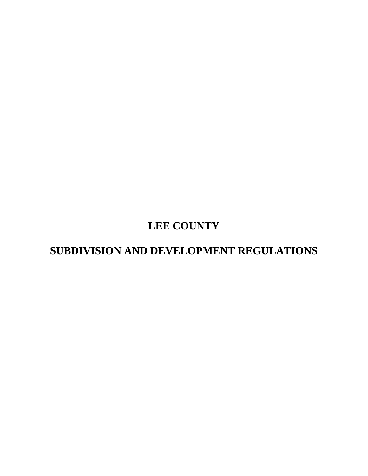# **LEE COUNTY**

# **SUBDIVISION AND DEVELOPMENT REGULATIONS**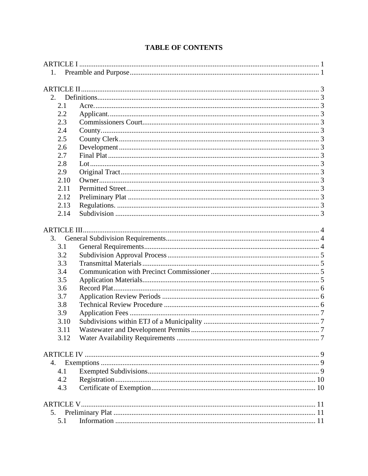| 1.   |  |  |  |  |
|------|--|--|--|--|
|      |  |  |  |  |
|      |  |  |  |  |
| 2.   |  |  |  |  |
| 2.1  |  |  |  |  |
| 2.2  |  |  |  |  |
| 2.3  |  |  |  |  |
| 2.4  |  |  |  |  |
| 2.5  |  |  |  |  |
| 2.6  |  |  |  |  |
| 2.7  |  |  |  |  |
| 2.8  |  |  |  |  |
| 2.9  |  |  |  |  |
| 2.10 |  |  |  |  |
| 2.11 |  |  |  |  |
| 2.12 |  |  |  |  |
| 2.13 |  |  |  |  |
| 2.14 |  |  |  |  |
|      |  |  |  |  |
|      |  |  |  |  |
| 3.   |  |  |  |  |
| 3.1  |  |  |  |  |
| 3.2  |  |  |  |  |
| 3.3  |  |  |  |  |
| 3.4  |  |  |  |  |
| 3.5  |  |  |  |  |
| 3.6  |  |  |  |  |
| 3.7  |  |  |  |  |
| 3.8  |  |  |  |  |
| 3.9  |  |  |  |  |
| 3.10 |  |  |  |  |
| 3.11 |  |  |  |  |
| 3.12 |  |  |  |  |
|      |  |  |  |  |
|      |  |  |  |  |
| 4.   |  |  |  |  |
| 4.1  |  |  |  |  |
| 4.2  |  |  |  |  |
| 4.3  |  |  |  |  |
|      |  |  |  |  |
|      |  |  |  |  |
| 5.   |  |  |  |  |
| 5.1  |  |  |  |  |

## **TABLE OF CONTENTS**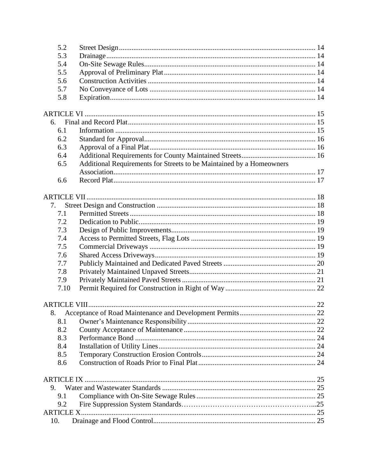| 5.2               |                                                                      |  |  |  |
|-------------------|----------------------------------------------------------------------|--|--|--|
| 5.3               |                                                                      |  |  |  |
| 5.4               |                                                                      |  |  |  |
| 5.5               |                                                                      |  |  |  |
| 5.6               |                                                                      |  |  |  |
| 5.7               |                                                                      |  |  |  |
| 5.8               |                                                                      |  |  |  |
|                   |                                                                      |  |  |  |
| 6.                |                                                                      |  |  |  |
| 6.1               |                                                                      |  |  |  |
| 6.2               |                                                                      |  |  |  |
| 6.3               |                                                                      |  |  |  |
| 6.4               |                                                                      |  |  |  |
| 6.5               | Additional Requirements for Streets to be Maintained by a Homeowners |  |  |  |
|                   |                                                                      |  |  |  |
| 6.6               |                                                                      |  |  |  |
|                   |                                                                      |  |  |  |
| 7.                |                                                                      |  |  |  |
| 7.1               |                                                                      |  |  |  |
| 7.2               |                                                                      |  |  |  |
| 7.3               |                                                                      |  |  |  |
| 7.4               |                                                                      |  |  |  |
| 7.5               |                                                                      |  |  |  |
| 7.6               |                                                                      |  |  |  |
| 7.7               |                                                                      |  |  |  |
| 7.8               |                                                                      |  |  |  |
| 7.9               |                                                                      |  |  |  |
| 7.10              |                                                                      |  |  |  |
|                   |                                                                      |  |  |  |
| 8.                |                                                                      |  |  |  |
| 8.1               |                                                                      |  |  |  |
| 8.2               |                                                                      |  |  |  |
| 8.3               |                                                                      |  |  |  |
| 8.4               |                                                                      |  |  |  |
| 8.5               |                                                                      |  |  |  |
| 8.6               |                                                                      |  |  |  |
|                   |                                                                      |  |  |  |
| 9.                |                                                                      |  |  |  |
| 9.1               |                                                                      |  |  |  |
| 9.2               |                                                                      |  |  |  |
| <b>ARTICLE X.</b> |                                                                      |  |  |  |
| 10.               |                                                                      |  |  |  |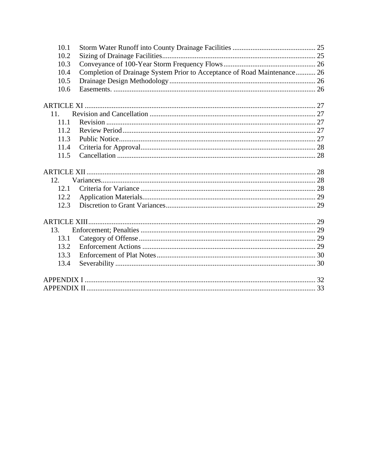| 10.1             |                                                                          |  |  |
|------------------|--------------------------------------------------------------------------|--|--|
| 10.2             |                                                                          |  |  |
| 10.3             |                                                                          |  |  |
| 10.4             | Completion of Drainage System Prior to Acceptance of Road Maintenance 26 |  |  |
| 10.5             |                                                                          |  |  |
| 10.6             |                                                                          |  |  |
|                  |                                                                          |  |  |
| 11 <sup>1</sup>  |                                                                          |  |  |
| 11.1             |                                                                          |  |  |
| 11.2             |                                                                          |  |  |
| 11.3             |                                                                          |  |  |
| 11.4             |                                                                          |  |  |
| 11.5             |                                                                          |  |  |
|                  |                                                                          |  |  |
|                  |                                                                          |  |  |
| 12 <sup>12</sup> |                                                                          |  |  |
| 12.1             |                                                                          |  |  |
| 12.2             |                                                                          |  |  |
| 12.3             |                                                                          |  |  |
|                  |                                                                          |  |  |
|                  |                                                                          |  |  |
| 13.              |                                                                          |  |  |
| 13.1             |                                                                          |  |  |
| 13.2             |                                                                          |  |  |
| 13.3             |                                                                          |  |  |
| 13.4             |                                                                          |  |  |
|                  |                                                                          |  |  |
|                  |                                                                          |  |  |
|                  |                                                                          |  |  |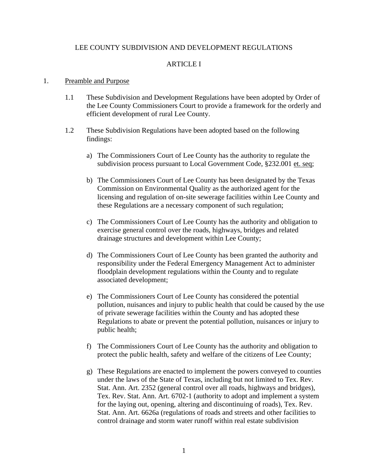## LEE COUNTY SUBDIVISION AND DEVELOPMENT REGULATIONS

## ARTICLE I

#### <span id="page-4-1"></span><span id="page-4-0"></span>1. Preamble and Purpose

- 1.1 These Subdivision and Development Regulations have been adopted by Order of the Lee County Commissioners Court to provide a framework for the orderly and efficient development of rural Lee County.
- 1.2 These Subdivision Regulations have been adopted based on the following findings:
	- a) The Commissioners Court of Lee County has the authority to regulate the subdivision process pursuant to Local Government Code, §232.001 et. seq;
	- b) The Commissioners Court of Lee County has been designated by the Texas Commission on Environmental Quality as the authorized agent for the licensing and regulation of on-site sewerage facilities within Lee County and these Regulations are a necessary component of such regulation;
	- c) The Commissioners Court of Lee County has the authority and obligation to exercise general control over the roads, highways, bridges and related drainage structures and development within Lee County;
	- d) The Commissioners Court of Lee County has been granted the authority and responsibility under the Federal Emergency Management Act to administer floodplain development regulations within the County and to regulate associated development;
	- e) The Commissioners Court of Lee County has considered the potential pollution, nuisances and injury to public health that could be caused by the use of private sewerage facilities within the County and has adopted these Regulations to abate or prevent the potential pollution, nuisances or injury to public health;
	- f) The Commissioners Court of Lee County has the authority and obligation to protect the public health, safety and welfare of the citizens of Lee County;
	- g) These Regulations are enacted to implement the powers conveyed to counties under the laws of the State of Texas, including but not limited to Tex. Rev. Stat. Ann. Art. 2352 (general control over all roads, highways and bridges), Tex. Rev. Stat. Ann. Art. 6702-1 (authority to adopt and implement a system for the laying out, opening, altering and discontinuing of roads), Tex. Rev. Stat. Ann. Art. 6626a (regulations of roads and streets and other facilities to control drainage and storm water runoff within real estate subdivision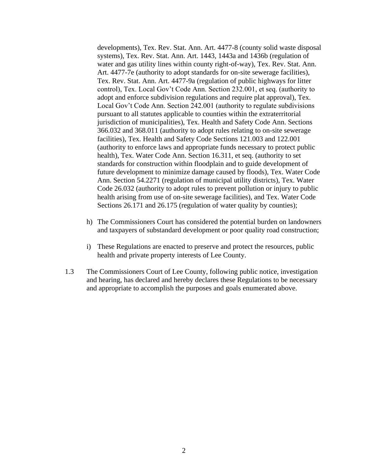developments), Tex. Rev. Stat. Ann. Art. 4477-8 (county solid waste disposal systems), Tex. Rev. Stat. Ann. Art. 1443, 1443a and 1436b (regulation of water and gas utility lines within county right-of-way), Tex. Rev. Stat. Ann. Art. 4477-7e (authority to adopt standards for on-site sewerage facilities), Tex. Rev. Stat. Ann. Art. 4477-9a (regulation of public highways for litter control), Tex. Local Gov't Code Ann. Section 232.001, et seq. (authority to adopt and enforce subdivision regulations and require plat approval), Tex. Local Gov't Code Ann. Section 242.001 (authority to regulate subdivisions pursuant to all statutes applicable to counties within the extraterritorial jurisdiction of municipalities), Tex. Health and Safety Code Ann. Sections 366.032 and 368.011 (authority to adopt rules relating to on-site sewerage facilities), Tex. Health and Safety Code Sections 121.003 and 122.001 (authority to enforce laws and appropriate funds necessary to protect public health), Tex. Water Code Ann. Section 16.311, et seq. (authority to set standards for construction within floodplain and to guide development of future development to minimize damage caused by floods), Tex. Water Code Ann. Section 54.2271 (regulation of municipal utility districts), Tex. Water Code 26.032 (authority to adopt rules to prevent pollution or injury to public health arising from use of on-site sewerage facilities), and Tex. Water Code Sections 26.171 and 26.175 (regulation of water quality by counties);

- h) The Commissioners Court has considered the potential burden on landowners and taxpayers of substandard development or poor quality road construction;
- i) These Regulations are enacted to preserve and protect the resources, public health and private property interests of Lee County.
- 1.3 The Commissioners Court of Lee County, following public notice, investigation and hearing, has declared and hereby declares these Regulations to be necessary and appropriate to accomplish the purposes and goals enumerated above.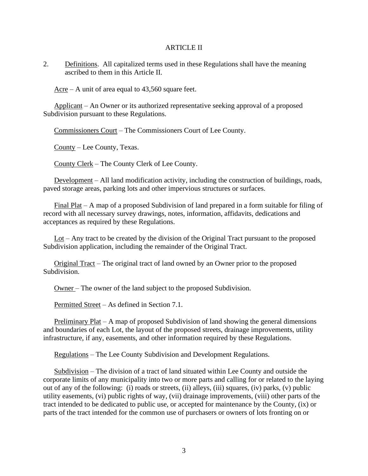#### ARTICLE II

<span id="page-6-1"></span><span id="page-6-0"></span>2. Definitions. All capitalized terms used in these Regulations shall have the meaning ascribed to them in this Article II.

<span id="page-6-2"></span> $\text{Arcre} - A$  unit of area equal to 43,560 square feet.

<span id="page-6-3"></span>Applicant – An Owner or its authorized representative seeking approval of a proposed Subdivision pursuant to these Regulations.

<span id="page-6-4"></span>Commissioners Court – The Commissioners Court of Lee County.

<span id="page-6-5"></span>County – Lee County, Texas.

<span id="page-6-6"></span>County Clerk – The County Clerk of Lee County.

<span id="page-6-7"></span>Development – All land modification activity, including the construction of buildings, roads, paved storage areas, parking lots and other impervious structures or surfaces.

<span id="page-6-8"></span>Final Plat – A map of a proposed Subdivision of land prepared in a form suitable for filing of record with all necessary survey drawings, notes, information, affidavits, dedications and acceptances as required by these Regulations.

<span id="page-6-9"></span>Lot – Any tract to be created by the division of the Original Tract pursuant to the proposed Subdivision application, including the remainder of the Original Tract.

<span id="page-6-10"></span>Original Tract – The original tract of land owned by an Owner prior to the proposed Subdivision.

<span id="page-6-11"></span>Owner – The owner of the land subject to the proposed Subdivision.

<span id="page-6-12"></span>Permitted Street – As defined in Section 7.1.

<span id="page-6-13"></span>Preliminary Plat – A map of proposed Subdivision of land showing the general dimensions and boundaries of each Lot, the layout of the proposed streets, drainage improvements, utility infrastructure, if any, easements, and other information required by these Regulations.

<span id="page-6-14"></span>Regulations – The Lee County Subdivision and Development Regulations.

<span id="page-6-15"></span>Subdivision – The division of a tract of land situated within Lee County and outside the corporate limits of any municipality into two or more parts and calling for or related to the laying out of any of the following: (i) roads or streets, (ii) alleys, (iii) squares, (iv) parks, (v) public utility easements, (vi) public rights of way, (vii) drainage improvements, (viii) other parts of the tract intended to be dedicated to public use, or accepted for maintenance by the County, (ix) or parts of the tract intended for the common use of purchasers or owners of lots fronting on or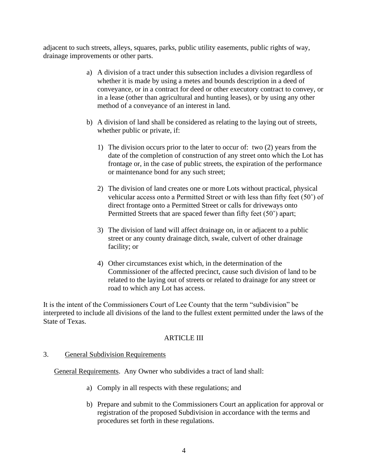adjacent to such streets, alleys, squares, parks, public utility easements, public rights of way, drainage improvements or other parts.

- a) A division of a tract under this subsection includes a division regardless of whether it is made by using a metes and bounds description in a deed of conveyance, or in a contract for deed or other executory contract to convey, or in a lease (other than agricultural and hunting leases), or by using any other method of a conveyance of an interest in land.
- b) A division of land shall be considered as relating to the laying out of streets, whether public or private, if:
	- 1) The division occurs prior to the later to occur of: two (2) years from the date of the completion of construction of any street onto which the Lot has frontage or, in the case of public streets, the expiration of the performance or maintenance bond for any such street;
	- 2) The division of land creates one or more Lots without practical, physical vehicular access onto a Permitted Street or with less than fifty feet (50') of direct frontage onto a Permitted Street or calls for driveways onto Permitted Streets that are spaced fewer than fifty feet (50') apart;
	- 3) The division of land will affect drainage on, in or adjacent to a public street or any county drainage ditch, swale, culvert of other drainage facility; or
	- 4) Other circumstances exist which, in the determination of the Commissioner of the affected precinct, cause such division of land to be related to the laying out of streets or related to drainage for any street or road to which any Lot has access.

It is the intent of the Commissioners Court of Lee County that the term "subdivision" be interpreted to include all divisions of the land to the fullest extent permitted under the laws of the State of Texas.

## ARTICLE III

## <span id="page-7-1"></span><span id="page-7-0"></span>3. General Subdivision Requirements

<span id="page-7-2"></span>General Requirements. Any Owner who subdivides a tract of land shall:

- a) Comply in all respects with these regulations; and
- b) Prepare and submit to the Commissioners Court an application for approval or registration of the proposed Subdivision in accordance with the terms and procedures set forth in these regulations.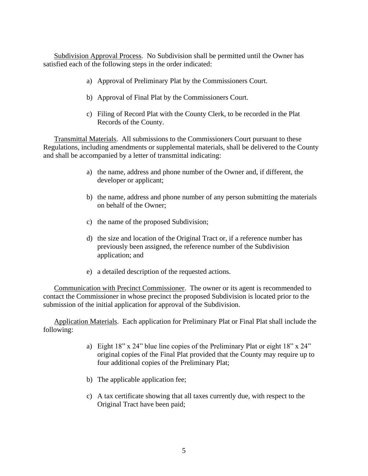<span id="page-8-0"></span>Subdivision Approval Process. No Subdivision shall be permitted until the Owner has satisfied each of the following steps in the order indicated:

- a) Approval of Preliminary Plat by the Commissioners Court.
- b) Approval of Final Plat by the Commissioners Court.
- c) Filing of Record Plat with the County Clerk, to be recorded in the Plat Records of the County.

<span id="page-8-1"></span>Transmittal Materials. All submissions to the Commissioners Court pursuant to these Regulations, including amendments or supplemental materials, shall be delivered to the County and shall be accompanied by a letter of transmittal indicating:

- a) the name, address and phone number of the Owner and, if different, the developer or applicant;
- b) the name, address and phone number of any person submitting the materials on behalf of the Owner;
- c) the name of the proposed Subdivision;
- d) the size and location of the Original Tract or, if a reference number has previously been assigned, the reference number of the Subdivision application; and
- e) a detailed description of the requested actions.

<span id="page-8-2"></span>Communication with Precinct Commissioner. The owner or its agent is recommended to contact the Commissioner in whose precinct the proposed Subdivision is located prior to the submission of the initial application for approval of the Subdivision.

<span id="page-8-3"></span>Application Materials. Each application for Preliminary Plat or Final Plat shall include the following:

- a) Eight 18" x 24" blue line copies of the Preliminary Plat or eight 18" x 24" original copies of the Final Plat provided that the County may require up to four additional copies of the Preliminary Plat;
- b) The applicable application fee;
- c) A tax certificate showing that all taxes currently due, with respect to the Original Tract have been paid;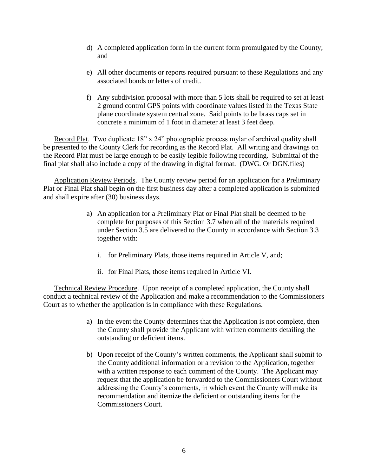- d) A completed application form in the current form promulgated by the County; and
- e) All other documents or reports required pursuant to these Regulations and any associated bonds or letters of credit.
- f) Any subdivision proposal with more than 5 lots shall be required to set at least 2 ground control GPS points with coordinate values listed in the Texas State plane coordinate system central zone. Said points to be brass caps set in concrete a minimum of 1 foot in diameter at least 3 feet deep.

<span id="page-9-0"></span>Record Plat. Two duplicate 18" x 24" photographic process mylar of archival quality shall be presented to the County Clerk for recording as the Record Plat. All writing and drawings on the Record Plat must be large enough to be easily legible following recording. Submittal of the final plat shall also include a copy of the drawing in digital format. (DWG. Or DGN.files)

<span id="page-9-1"></span>Application Review Periods. The County review period for an application for a Preliminary Plat or Final Plat shall begin on the first business day after a completed application is submitted and shall expire after (30) business days.

- a) An application for a Preliminary Plat or Final Plat shall be deemed to be complete for purposes of this Section 3.7 when all of the materials required under Section 3.5 are delivered to the County in accordance with Section 3.3 together with:
	- i. for Preliminary Plats, those items required in Article V, and;
	- ii. for Final Plats, those items required in Article VI.

<span id="page-9-2"></span>Technical Review Procedure. Upon receipt of a completed application, the County shall conduct a technical review of the Application and make a recommendation to the Commissioners Court as to whether the application is in compliance with these Regulations.

- a) In the event the County determines that the Application is not complete, then the County shall provide the Applicant with written comments detailing the outstanding or deficient items.
- b) Upon receipt of the County's written comments, the Applicant shall submit to the County additional information or a revision to the Application, together with a written response to each comment of the County. The Applicant may request that the application be forwarded to the Commissioners Court without addressing the County's comments, in which event the County will make its recommendation and itemize the deficient or outstanding items for the Commissioners Court.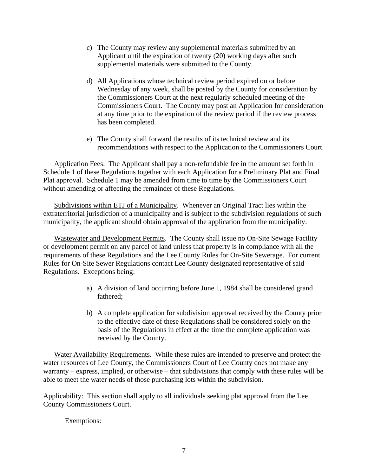- c) The County may review any supplemental materials submitted by an Applicant until the expiration of twenty (20) working days after such supplemental materials were submitted to the County.
- d) All Applications whose technical review period expired on or before Wednesday of any week, shall be posted by the County for consideration by the Commissioners Court at the next regularly scheduled meeting of the Commissioners Court. The County may post an Application for consideration at any time prior to the expiration of the review period if the review process has been completed.
- e) The County shall forward the results of its technical review and its recommendations with respect to the Application to the Commissioners Court.

<span id="page-10-0"></span>Application Fees. The Applicant shall pay a non-refundable fee in the amount set forth in Schedule 1 of these Regulations together with each Application for a Preliminary Plat and Final Plat approval. Schedule 1 may be amended from time to time by the Commissioners Court without amending or affecting the remainder of these Regulations.

<span id="page-10-1"></span>Subdivisions within ETJ of a Municipality. Whenever an Original Tract lies within the extraterritorial jurisdiction of a municipality and is subject to the subdivision regulations of such municipality, the applicant should obtain approval of the application from the municipality.

<span id="page-10-2"></span>Wastewater and Development Permits. The County shall issue no On-Site Sewage Facility or development permit on any parcel of land unless that property is in compliance with all the requirements of these Regulations and the Lee County Rules for On-Site Sewerage. For current Rules for On-Site Sewer Regulations contact Lee County designated representative of said Regulations. Exceptions being:

- a) A division of land occurring before June 1, 1984 shall be considered grand fathered;
- b) A complete application for subdivision approval received by the County prior to the effective date of these Regulations shall be considered solely on the basis of the Regulations in effect at the time the complete application was received by the County.

<span id="page-10-3"></span>Water Availability Requirements. While these rules are intended to preserve and protect the water resources of Lee County, the Commissioners Court of Lee County does not make any warranty – express, implied, or otherwise – that subdivisions that comply with these rules will be able to meet the water needs of those purchasing lots within the subdivision.

Applicability: This section shall apply to all individuals seeking plat approval from the Lee County Commissioners Court.

Exemptions: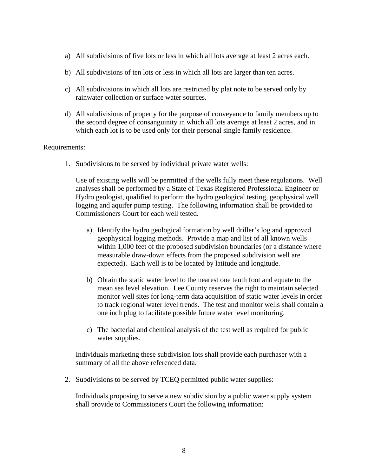- a) All subdivisions of five lots or less in which all lots average at least 2 acres each.
- b) All subdivisions of ten lots or less in which all lots are larger than ten acres.
- c) All subdivisions in which all lots are restricted by plat note to be served only by rainwater collection or surface water sources.
- d) All subdivisions of property for the purpose of conveyance to family members up to the second degree of consanguinity in which all lots average at least 2 acres, and in which each lot is to be used only for their personal single family residence.

#### Requirements:

1. Subdivisions to be served by individual private water wells:

Use of existing wells will be permitted if the wells fully meet these regulations. Well analyses shall be performed by a State of Texas Registered Professional Engineer or Hydro geologist, qualified to perform the hydro geological testing, geophysical well logging and aquifer pump testing. The following information shall be provided to Commissioners Court for each well tested.

- a) Identify the hydro geological formation by well driller's log and approved geophysical logging methods. Provide a map and list of all known wells within 1,000 feet of the proposed subdivision boundaries (or a distance where measurable draw-down effects from the proposed subdivision well are expected). Each well is to be located by latitude and longitude.
- b) Obtain the static water level to the nearest one tenth foot and equate to the mean sea level elevation. Lee County reserves the right to maintain selected monitor well sites for long-term data acquisition of static water levels in order to track regional water level trends. The test and monitor wells shall contain a one inch plug to facilitate possible future water level monitoring.
- c) The bacterial and chemical analysis of the test well as required for public water supplies.

Individuals marketing these subdivision lots shall provide each purchaser with a summary of all the above referenced data.

2. Subdivisions to be served by TCEQ permitted public water supplies:

Individuals proposing to serve a new subdivision by a public water supply system shall provide to Commissioners Court the following information: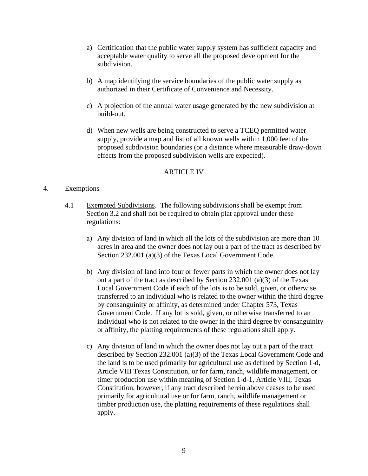- a) Certification that the public water supply system has sufficient capacity and acceptable water quality to serve all the proposed development for the subdivision.
- b) A map identifying the service boundaries of the public water supply as authorized in their Certificate of Convenience and Necessity.
- c) A projection of the annual water usage generated by the new subdivision at build-out.
- d) When new wells are being constructed to serve a TCEQ permitted water supply, provide a map and list of all known wells within 1,000 feet of the proposed subdivision boundaries (or a distance where measurable draw-down effects from the proposed subdivision wells are expected).

## ARTICLE IV

## <span id="page-12-2"></span><span id="page-12-1"></span><span id="page-12-0"></span>4. Exemptions

- 4.1 Exempted Subdivisions. The following subdivisions shall be exempt from Section 3.2 and shall not be required to obtain plat approval under these regulations:
	- a) Any division of land in which all the lots of the subdivision are more than 10 acres in area and the owner does not lay out a part of the tract as described by Section 232.001 (a)(3) of the Texas Local Government Code.
	- b) Any division of land into four or fewer parts in which the owner does not lay out a part of the tract as described by Section 232.001 (a)(3) of the Texas Local Government Code if each of the lots is to be sold, given, or otherwise transferred to an individual who is related to the owner within the third degree by consanguinity or affinity, as determined under Chapter 573, Texas Government Code. If any lot is sold, given, or otherwise transferred to an individual who is not related to the owner in the third degree by consanguinity or affinity, the platting requirements of these regulations shall apply.
	- c) Any division of land in which the owner does not lay out a part of the tract described by Section 232.001 (a)(3) of the Texas Local Government Code and the land is to be used primarily for agricultural use as defined by Section 1-d, Article VIII Texas Constitution, or for farm, ranch, wildlife management, or timer production use within meaning of Section 1-d-1, Article VIII, Texas Constitution, however, if any tract described herein above ceases to be used primarily for agricultural use or for farm, ranch, wildlife management or timber production use, the platting requirements of these regulations shall apply.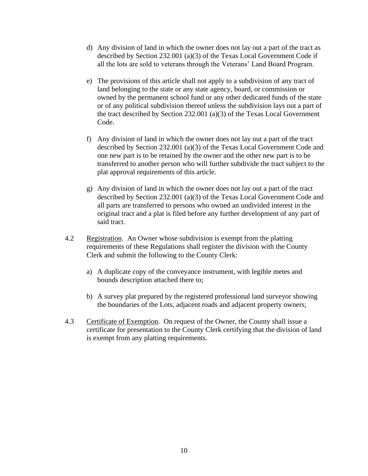- d) Any division of land in which the owner does not lay out a part of the tract as described by Section 232.001 (a)(3) of the Texas Local Government Code if all the lots are sold to veterans through the Veterans' Land Board Program.
- e) The provisions of this article shall not apply to a subdivision of any tract of land belonging to the state or any state agency, board, or commission or owned by the permanent school fund or any other dedicated funds of the state or of any political subdivision thereof unless the subdivision lays out a part of the tract described by Section 232.001 (a)(3) of the Texas Local Government Code.
- f) Any division of land in which the owner does not lay out a part of the tract described by Section 232.001 (a)(3) of the Texas Local Government Code and one new part is to be retained by the owner and the other new part is to be transferred to another person who will further subdivide the tract subject to the plat approval requirements of this article.
- g) Any division of land in which the owner does not lay out a part of the tract described by Section 232.001 (a)(3) of the Texas Local Government Code and all parts are transferred to persons who owned an undivided interest in the original tract and a plat is filed before any further development of any part of said tract.
- <span id="page-13-0"></span>4.2 Registration. An Owner whose subdivision is exempt from the platting requirements of these Regulations shall register the division with the County Clerk and submit the following to the County Clerk:
	- a) A duplicate copy of the conveyance instrument, with legible metes and bounds description attached there to;
	- b) A survey plat prepared by the registered professional land surveyor showing the boundaries of the Lots, adjacent roads and adjacent property owners;
- <span id="page-13-1"></span>4.3 Certificate of Exemption. On request of the Owner, the County shall issue a certificate for presentation to the County Clerk certifying that the division of land is exempt from any platting requirements.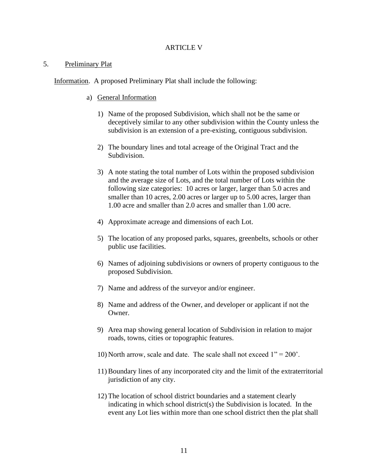#### ARTICLE V

#### <span id="page-14-1"></span><span id="page-14-0"></span>5. Preliminary Plat

<span id="page-14-2"></span>Information. A proposed Preliminary Plat shall include the following:

- a) General Information
	- 1) Name of the proposed Subdivision, which shall not be the same or deceptively similar to any other subdivision within the County unless the subdivision is an extension of a pre-existing, contiguous subdivision.
	- 2) The boundary lines and total acreage of the Original Tract and the Subdivision.
	- 3) A note stating the total number of Lots within the proposed subdivision and the average size of Lots, and the total number of Lots within the following size categories: 10 acres or larger, larger than 5.0 acres and smaller than 10 acres, 2.00 acres or larger up to 5.00 acres, larger than 1.00 acre and smaller than 2.0 acres and smaller than 1.00 acre.
	- 4) Approximate acreage and dimensions of each Lot.
	- 5) The location of any proposed parks, squares, greenbelts, schools or other public use facilities.
	- 6) Names of adjoining subdivisions or owners of property contiguous to the proposed Subdivision.
	- 7) Name and address of the surveyor and/or engineer.
	- 8) Name and address of the Owner, and developer or applicant if not the Owner.
	- 9) Area map showing general location of Subdivision in relation to major roads, towns, cities or topographic features.
	- 10) North arrow, scale and date. The scale shall not exceed  $1" = 200'$ .
	- 11) Boundary lines of any incorporated city and the limit of the extraterritorial jurisdiction of any city.
	- 12) The location of school district boundaries and a statement clearly indicating in which school district(s) the Subdivision is located. In the event any Lot lies within more than one school district then the plat shall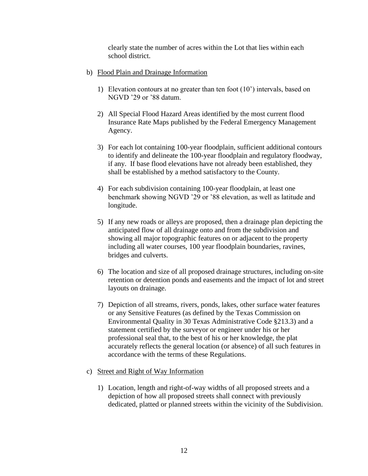clearly state the number of acres within the Lot that lies within each school district.

- b) Flood Plain and Drainage Information
	- 1) Elevation contours at no greater than ten foot (10') intervals, based on NGVD '29 or '88 datum.
	- 2) All Special Flood Hazard Areas identified by the most current flood Insurance Rate Maps published by the Federal Emergency Management Agency.
	- 3) For each lot containing 100-year floodplain, sufficient additional contours to identify and delineate the 100-year floodplain and regulatory floodway, if any. If base flood elevations have not already been established, they shall be established by a method satisfactory to the County.
	- 4) For each subdivision containing 100-year floodplain, at least one benchmark showing NGVD '29 or '88 elevation, as well as latitude and longitude.
	- 5) If any new roads or alleys are proposed, then a drainage plan depicting the anticipated flow of all drainage onto and from the subdivision and showing all major topographic features on or adjacent to the property including all water courses, 100 year floodplain boundaries, ravines, bridges and culverts.
	- 6) The location and size of all proposed drainage structures, including on-site retention or detention ponds and easements and the impact of lot and street layouts on drainage.
	- 7) Depiction of all streams, rivers, ponds, lakes, other surface water features or any Sensitive Features (as defined by the Texas Commission on Environmental Quality in 30 Texas Administrative Code §213.3) and a statement certified by the surveyor or engineer under his or her professional seal that, to the best of his or her knowledge, the plat accurately reflects the general location (or absence) of all such features in accordance with the terms of these Regulations.
- c) Street and Right of Way Information
	- 1) Location, length and right-of-way widths of all proposed streets and a depiction of how all proposed streets shall connect with previously dedicated, platted or planned streets within the vicinity of the Subdivision.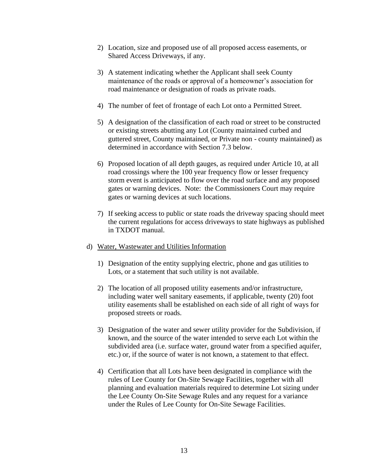- 2) Location, size and proposed use of all proposed access easements, or Shared Access Driveways, if any.
- 3) A statement indicating whether the Applicant shall seek County maintenance of the roads or approval of a homeowner's association for road maintenance or designation of roads as private roads.
- 4) The number of feet of frontage of each Lot onto a Permitted Street.
- 5) A designation of the classification of each road or street to be constructed or existing streets abutting any Lot (County maintained curbed and guttered street, County maintained, or Private non - county maintained) as determined in accordance with Section 7.3 below.
- 6) Proposed location of all depth gauges, as required under Article 10, at all road crossings where the 100 year frequency flow or lesser frequency storm event is anticipated to flow over the road surface and any proposed gates or warning devices. Note: the Commissioners Court may require gates or warning devices at such locations.
- 7) If seeking access to public or state roads the driveway spacing should meet the current regulations for access driveways to state highways as published in TXDOT manual.
- d) Water, Wastewater and Utilities Information
	- 1) Designation of the entity supplying electric, phone and gas utilities to Lots, or a statement that such utility is not available.
	- 2) The location of all proposed utility easements and/or infrastructure, including water well sanitary easements, if applicable, twenty (20) foot utility easements shall be established on each side of all right of ways for proposed streets or roads.
	- 3) Designation of the water and sewer utility provider for the Subdivision, if known, and the source of the water intended to serve each Lot within the subdivided area (i.e. surface water, ground water from a specified aquifer, etc.) or, if the source of water is not known, a statement to that effect.
	- 4) Certification that all Lots have been designated in compliance with the rules of Lee County for On-Site Sewage Facilities, together with all planning and evaluation materials required to determine Lot sizing under the Lee County On-Site Sewage Rules and any request for a variance under the Rules of Lee County for On-Site Sewage Facilities.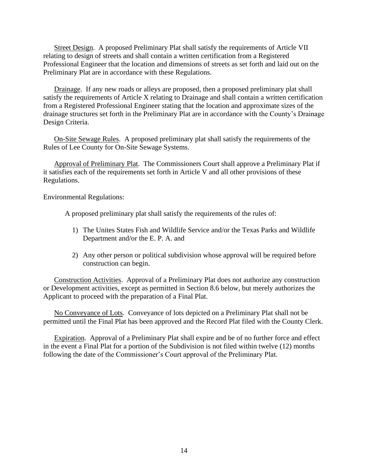<span id="page-17-0"></span>Street Design. A proposed Preliminary Plat shall satisfy the requirements of Article VII relating to design of streets and shall contain a written certification from a Registered Professional Engineer that the location and dimensions of streets as set forth and laid out on the Preliminary Plat are in accordance with these Regulations.

<span id="page-17-1"></span>Drainage. If any new roads or alleys are proposed, then a proposed preliminary plat shall satisfy the requirements of Article X relating to Drainage and shall contain a written certification from a Registered Professional Engineer stating that the location and approximate sizes of the drainage structures set forth in the Preliminary Plat are in accordance with the County's Drainage Design Criteria.

<span id="page-17-2"></span>On-Site Sewage Rules. A proposed preliminary plat shall satisfy the requirements of the Rules of Lee County for On-Site Sewage Systems.

<span id="page-17-3"></span>Approval of Preliminary Plat. The Commissioners Court shall approve a Preliminary Plat if it satisfies each of the requirements set forth in Article V and all other provisions of these Regulations.

Environmental Regulations:

A proposed preliminary plat shall satisfy the requirements of the rules of:

- 1) The Unites States Fish and Wildlife Service and/or the Texas Parks and Wildlife Department and/or the E. P. A. and
- 2) Any other person or political subdivision whose approval will be required before construction can begin.

<span id="page-17-4"></span>Construction Activities. Approval of a Preliminary Plat does not authorize any construction or Development activities, except as permitted in Section 8.6 below, but merely authorizes the Applicant to proceed with the preparation of a Final Plat.

<span id="page-17-5"></span>No Conveyance of Lots. Conveyance of lots depicted on a Preliminary Plat shall not be permitted until the Final Plat has been approved and the Record Plat filed with the County Clerk.

<span id="page-17-6"></span>Expiration. Approval of a Preliminary Plat shall expire and be of no further force and effect in the event a Final Plat for a portion of the Subdivision is not filed within twelve (12) months following the date of the Commissioner's Court approval of the Preliminary Plat.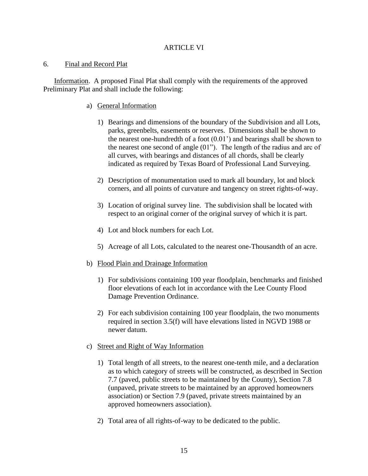## ARTICLE VI

## <span id="page-18-1"></span><span id="page-18-0"></span>6. Final and Record Plat

<span id="page-18-2"></span>Information. A proposed Final Plat shall comply with the requirements of the approved Preliminary Plat and shall include the following:

## a) General Information

- 1) Bearings and dimensions of the boundary of the Subdivision and all Lots, parks, greenbelts, easements or reserves. Dimensions shall be shown to the nearest one-hundredth of a foot  $(0.01)$  and bearings shall be shown to the nearest one second of angle (01"). The length of the radius and arc of all curves, with bearings and distances of all chords, shall be clearly indicated as required by Texas Board of Professional Land Surveying.
- 2) Description of monumentation used to mark all boundary, lot and block corners, and all points of curvature and tangency on street rights-of-way.
- 3) Location of original survey line. The subdivision shall be located with respect to an original corner of the original survey of which it is part.
- 4) Lot and block numbers for each Lot.
- 5) Acreage of all Lots, calculated to the nearest one-Thousandth of an acre.
- b) Flood Plain and Drainage Information
	- 1) For subdivisions containing 100 year floodplain, benchmarks and finished floor elevations of each lot in accordance with the Lee County Flood Damage Prevention Ordinance.
	- 2) For each subdivision containing 100 year floodplain, the two monuments required in section 3.5(f) will have elevations listed in NGVD 1988 or newer datum.
- c) Street and Right of Way Information
	- 1) Total length of all streets, to the nearest one-tenth mile, and a declaration as to which category of streets will be constructed, as described in Section 7.7 (paved, public streets to be maintained by the County), Section 7.8 (unpaved, private streets to be maintained by an approved homeowners association) or Section 7.9 (paved, private streets maintained by an approved homeowners association).
	- 2) Total area of all rights-of-way to be dedicated to the public.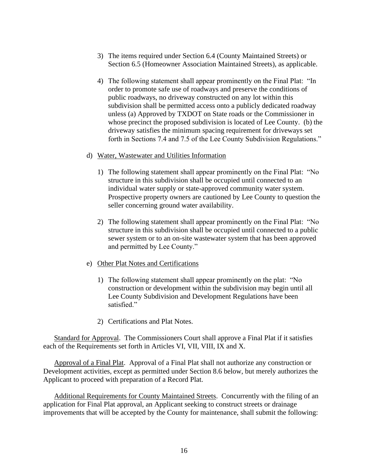- 3) The items required under Section 6.4 (County Maintained Streets) or Section 6.5 (Homeowner Association Maintained Streets), as applicable.
- 4) The following statement shall appear prominently on the Final Plat: "In order to promote safe use of roadways and preserve the conditions of public roadways, no driveway constructed on any lot within this subdivision shall be permitted access onto a publicly dedicated roadway unless (a) Approved by TXDOT on State roads or the Commissioner in whose precinct the proposed subdivision is located of Lee County. (b) the driveway satisfies the minimum spacing requirement for driveways set forth in Sections 7.4 and 7.5 of the Lee County Subdivision Regulations."

#### d) Water, Wastewater and Utilities Information

- 1) The following statement shall appear prominently on the Final Plat: "No structure in this subdivision shall be occupied until connected to an individual water supply or state-approved community water system. Prospective property owners are cautioned by Lee County to question the seller concerning ground water availability.
- 2) The following statement shall appear prominently on the Final Plat: "No structure in this subdivision shall be occupied until connected to a public sewer system or to an on-site wastewater system that has been approved and permitted by Lee County."

#### e) Other Plat Notes and Certifications

- 1) The following statement shall appear prominently on the plat: "No construction or development within the subdivision may begin until all Lee County Subdivision and Development Regulations have been satisfied."
- 2) Certifications and Plat Notes.

<span id="page-19-0"></span>Standard for Approval. The Commissioners Court shall approve a Final Plat if it satisfies each of the Requirements set forth in Articles VI, VII, VIII, IX and X.

<span id="page-19-1"></span>Approval of a Final Plat. Approval of a Final Plat shall not authorize any construction or Development activities, except as permitted under Section 8.6 below, but merely authorizes the Applicant to proceed with preparation of a Record Plat.

<span id="page-19-2"></span>Additional Requirements for County Maintained Streets. Concurrently with the filing of an application for Final Plat approval, an Applicant seeking to construct streets or drainage improvements that will be accepted by the County for maintenance, shall submit the following: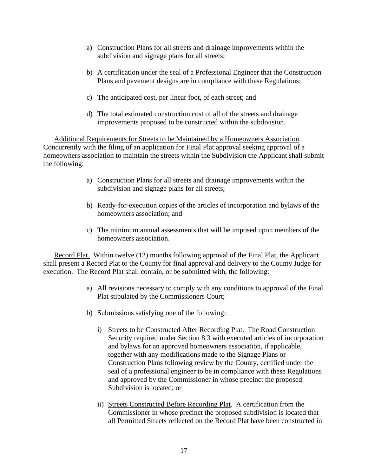- a) Construction Plans for all streets and drainage improvements within the subdivision and signage plans for all streets;
- b) A certification under the seal of a Professional Engineer that the Construction Plans and pavement designs are in compliance with these Regulations;
- c) The anticipated cost, per linear foot, of each street; and
- d) The total estimated construction cost of all of the streets and drainage improvements proposed to be constructed within the subdivision.

<span id="page-20-0"></span>Additional Requirements for Streets to be Maintained by a Homeowners Association. Concurrently with the filing of an application for Final Plat approval seeking approval of a homeowners association to maintain the streets within the Subdivision the Applicant shall submit the following:

- a) Construction Plans for all streets and drainage improvements within the subdivision and signage plans for all streets;
- b) Ready-for-execution copies of the articles of incorporation and bylaws of the homeowners association; and
- c) The minimum annual assessments that will be imposed upon members of the homeowners association.

<span id="page-20-1"></span>Record Plat. Within twelve (12) months following approval of the Final Plat, the Applicant shall present a Record Plat to the County for final approval and delivery to the County Judge for execution. The Record Plat shall contain, or be submitted with, the following:

- a) All revisions necessary to comply with any conditions to approval of the Final Plat stipulated by the Commissioners Court;
- b) Submissions satisfying one of the following:
	- i) Streets to be Constructed After Recording Plat. The Road Construction Security required under Section 8.3 with executed articles of incorporation and bylaws for an approved homeowners association, if applicable, together with any modifications made to the Signage Plans or Construction Plans following review by the County, certified under the seal of a professional engineer to be in compliance with these Regulations and approved by the Commissioner in whose precinct the proposed Subdivision is located; or
	- ii) Streets Constructed Before Recording Plat. A certification from the Commissioner in whose precinct the proposed subdivision is located that all Permitted Streets reflected on the Record Plat have been constructed in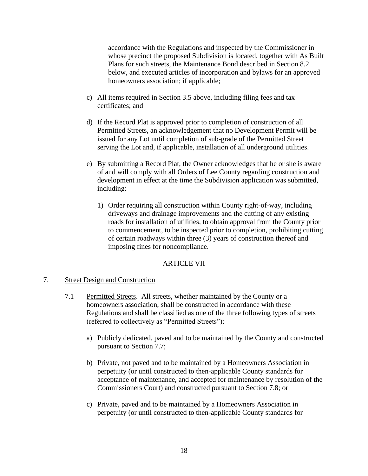accordance with the Regulations and inspected by the Commissioner in whose precinct the proposed Subdivision is located, together with As Built Plans for such streets, the Maintenance Bond described in Section 8.2 below, and executed articles of incorporation and bylaws for an approved homeowners association; if applicable;

- c) All items required in Section 3.5 above, including filing fees and tax certificates; and
- d) If the Record Plat is approved prior to completion of construction of all Permitted Streets, an acknowledgement that no Development Permit will be issued for any Lot until completion of sub-grade of the Permitted Street serving the Lot and, if applicable, installation of all underground utilities.
- e) By submitting a Record Plat, the Owner acknowledges that he or she is aware of and will comply with all Orders of Lee County regarding construction and development in effect at the time the Subdivision application was submitted, including:
	- 1) Order requiring all construction within County right-of-way, including driveways and drainage improvements and the cutting of any existing roads for installation of utilities, to obtain approval from the County prior to commencement, to be inspected prior to completion, prohibiting cutting of certain roadways within three (3) years of construction thereof and imposing fines for noncompliance.

## ARTICLE VII

## <span id="page-21-2"></span><span id="page-21-1"></span><span id="page-21-0"></span>7. Street Design and Construction

- 7.1 Permitted Streets. All streets, whether maintained by the County or a homeowners association, shall be constructed in accordance with these Regulations and shall be classified as one of the three following types of streets (referred to collectively as "Permitted Streets"):
	- a) Publicly dedicated, paved and to be maintained by the County and constructed pursuant to Section 7.7;
	- b) Private, not paved and to be maintained by a Homeowners Association in perpetuity (or until constructed to then-applicable County standards for acceptance of maintenance, and accepted for maintenance by resolution of the Commissioners Court) and constructed pursuant to Section 7.8; or
	- c) Private, paved and to be maintained by a Homeowners Association in perpetuity (or until constructed to then-applicable County standards for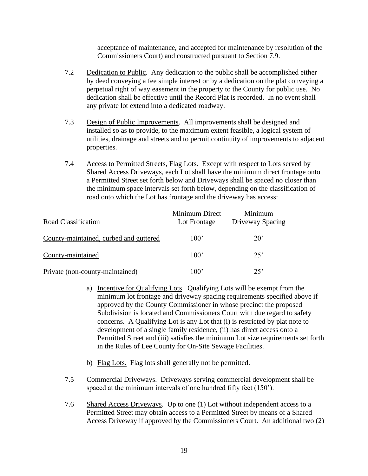acceptance of maintenance, and accepted for maintenance by resolution of the Commissioners Court) and constructed pursuant to Section 7.9.

- <span id="page-22-0"></span>7.2 Dedication to Public. Any dedication to the public shall be accomplished either by deed conveying a fee simple interest or by a dedication on the plat conveying a perpetual right of way easement in the property to the County for public use. No dedication shall be effective until the Record Plat is recorded. In no event shall any private lot extend into a dedicated roadway.
- <span id="page-22-1"></span>7.3 Design of Public Improvements. All improvements shall be designed and installed so as to provide, to the maximum extent feasible, a logical system of utilities, drainage and streets and to permit continuity of improvements to adjacent properties.
- <span id="page-22-2"></span>7.4 Access to Permitted Streets, Flag Lots. Except with respect to Lots served by Shared Access Driveways, each Lot shall have the minimum direct frontage onto a Permitted Street set forth below and Driveways shall be spaced no closer than the minimum space intervals set forth below, depending on the classification of road onto which the Lot has frontage and the driveway has access:

| Road Classification                    | Minimum Direct<br>Lot Frontage | Minimum<br>Driveway Spacing |
|----------------------------------------|--------------------------------|-----------------------------|
| County-maintained, curbed and guttered | $100^{\circ}$                  | $20^{\circ}$                |
| County-maintained                      | $100^{\circ}$                  | 25'                         |
| Private (non-county-maintained)        | 100'                           | 25                          |

- a) Incentive for Qualifying Lots. Qualifying Lots will be exempt from the minimum lot frontage and driveway spacing requirements specified above if approved by the County Commissioner in whose precinct the proposed Subdivision is located and Commissioners Court with due regard to safety concerns. A Qualifying Lot is any Lot that (i) is restricted by plat note to development of a single family residence, (ii) has direct access onto a Permitted Street and (iii) satisfies the minimum Lot size requirements set forth in the Rules of Lee County for On-Site Sewage Facilities.
- b) Flag Lots. Flag lots shall generally not be permitted.
- <span id="page-22-3"></span>7.5 Commercial Driveways. Driveways serving commercial development shall be spaced at the minimum intervals of one hundred fifty feet (150').
- <span id="page-22-4"></span>7.6 Shared Access Driveways. Up to one (1) Lot without independent access to a Permitted Street may obtain access to a Permitted Street by means of a Shared Access Driveway if approved by the Commissioners Court. An additional two (2)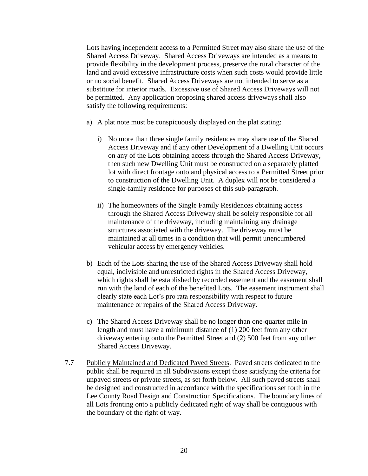Lots having independent access to a Permitted Street may also share the use of the Shared Access Driveway. Shared Access Driveways are intended as a means to provide flexibility in the development process, preserve the rural character of the land and avoid excessive infrastructure costs when such costs would provide little or no social benefit. Shared Access Driveways are not intended to serve as a substitute for interior roads. Excessive use of Shared Access Driveways will not be permitted. Any application proposing shared access driveways shall also satisfy the following requirements:

- a) A plat note must be conspicuously displayed on the plat stating:
	- i) No more than three single family residences may share use of the Shared Access Driveway and if any other Development of a Dwelling Unit occurs on any of the Lots obtaining access through the Shared Access Driveway, then such new Dwelling Unit must be constructed on a separately platted lot with direct frontage onto and physical access to a Permitted Street prior to construction of the Dwelling Unit. A duplex will not be considered a single-family residence for purposes of this sub-paragraph.
	- ii) The homeowners of the Single Family Residences obtaining access through the Shared Access Driveway shall be solely responsible for all maintenance of the driveway, including maintaining any drainage structures associated with the driveway. The driveway must be maintained at all times in a condition that will permit unencumbered vehicular access by emergency vehicles.
- b) Each of the Lots sharing the use of the Shared Access Driveway shall hold equal, indivisible and unrestricted rights in the Shared Access Driveway, which rights shall be established by recorded easement and the easement shall run with the land of each of the benefited Lots. The easement instrument shall clearly state each Lot's pro rata responsibility with respect to future maintenance or repairs of the Shared Access Driveway.
- c) The Shared Access Driveway shall be no longer than one-quarter mile in length and must have a minimum distance of (1) 200 feet from any other driveway entering onto the Permitted Street and (2) 500 feet from any other Shared Access Driveway.
- <span id="page-23-0"></span>7.7 Publicly Maintained and Dedicated Paved Streets. Paved streets dedicated to the public shall be required in all Subdivisions except those satisfying the criteria for unpaved streets or private streets, as set forth below. All such paved streets shall be designed and constructed in accordance with the specifications set forth in the Lee County Road Design and Construction Specifications. The boundary lines of all Lots fronting onto a publicly dedicated right of way shall be contiguous with the boundary of the right of way.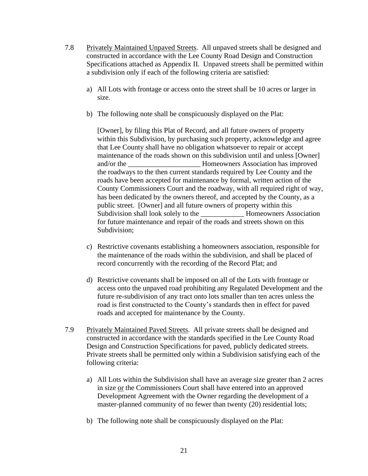- <span id="page-24-0"></span>7.8 Privately Maintained Unpaved Streets. All unpaved streets shall be designed and constructed in accordance with the Lee County Road Design and Construction Specifications attached as Appendix II. Unpaved streets shall be permitted within a subdivision only if each of the following criteria are satisfied:
	- a) All Lots with frontage or access onto the street shall be 10 acres or larger in size.
	- b) The following note shall be conspicuously displayed on the Plat:

[Owner], by filing this Plat of Record, and all future owners of property within this Subdivision, by purchasing such property, acknowledge and agree that Lee County shall have no obligation whatsoever to repair or accept maintenance of the roads shown on this subdivision until and unless [Owner] and/or the \_\_\_\_\_\_\_\_\_\_\_\_\_\_\_\_\_\_\_\_ Homeowners Association has improved the roadways to the then current standards required by Lee County and the roads have been accepted for maintenance by formal, written action of the County Commissioners Court and the roadway, with all required right of way, has been dedicated by the owners thereof, and accepted by the County, as a public street. [Owner] and all future owners of property within this Subdivision shall look solely to the **Homeowners Association** for future maintenance and repair of the roads and streets shown on this Subdivision;

- c) Restrictive covenants establishing a homeowners association, responsible for the maintenance of the roads within the subdivision, and shall be placed of record concurrently with the recording of the Record Plat; and
- d) Restrictive covenants shall be imposed on all of the Lots with frontage or access onto the unpaved road prohibiting any Regulated Development and the future re-subdivision of any tract onto lots smaller than ten acres unless the road is first constructed to the County's standards then in effect for paved roads and accepted for maintenance by the County.
- <span id="page-24-1"></span>7.9 Privately Maintained Paved Streets. All private streets shall be designed and constructed in accordance with the standards specified in the Lee County Road Design and Construction Specifications for paved, publicly dedicated streets. Private streets shall be permitted only within a Subdivision satisfying each of the following criteria:
	- a) All Lots within the Subdivision shall have an average size greater than 2 acres in size or the Commissioners Court shall have entered into an approved Development Agreement with the Owner regarding the development of a master-planned community of no fewer than twenty (20) residential lots;
	- b) The following note shall be conspicuously displayed on the Plat: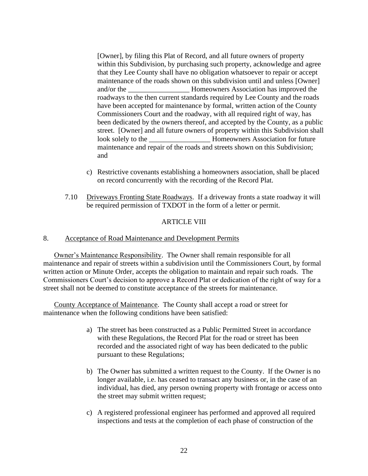[Owner], by filing this Plat of Record, and all future owners of property within this Subdivision, by purchasing such property, acknowledge and agree that they Lee County shall have no obligation whatsoever to repair or accept maintenance of the roads shown on this subdivision until and unless [Owner] and/or the \_\_\_\_\_\_\_\_\_\_\_\_\_\_\_\_\_ Homeowners Association has improved the roadways to the then current standards required by Lee County and the roads have been accepted for maintenance by formal, written action of the County Commissioners Court and the roadway, with all required right of way, has been dedicated by the owners thereof, and accepted by the County, as a public street. [Owner] and all future owners of property within this Subdivision shall look solely to the \_\_\_\_\_\_\_\_\_\_\_\_\_\_\_\_\_ Homeowners Association for future maintenance and repair of the roads and streets shown on this Subdivision; and

- c) Restrictive covenants establishing a homeowners association, shall be placed on record concurrently with the recording of the Record Plat.
- <span id="page-25-0"></span>7.10 Driveways Fronting State Roadways. If a driveway fronts a state roadway it will be required permission of TXDOT in the form of a letter or permit.

## ARTICLE VIII

## <span id="page-25-2"></span><span id="page-25-1"></span>8. Acceptance of Road Maintenance and Development Permits

<span id="page-25-3"></span>Owner's Maintenance Responsibility. The Owner shall remain responsible for all maintenance and repair of streets within a subdivision until the Commissioners Court, by formal written action or Minute Order, accepts the obligation to maintain and repair such roads. The Commissioners Court's decision to approve a Record Plat or dedication of the right of way for a street shall not be deemed to constitute acceptance of the streets for maintenance.

<span id="page-25-4"></span>County Acceptance of Maintenance. The County shall accept a road or street for maintenance when the following conditions have been satisfied:

- a) The street has been constructed as a Public Permitted Street in accordance with these Regulations, the Record Plat for the road or street has been recorded and the associated right of way has been dedicated to the public pursuant to these Regulations;
- b) The Owner has submitted a written request to the County. If the Owner is no longer available, i.e. has ceased to transact any business or, in the case of an individual, has died, any person owning property with frontage or access onto the street may submit written request;
- c) A registered professional engineer has performed and approved all required inspections and tests at the completion of each phase of construction of the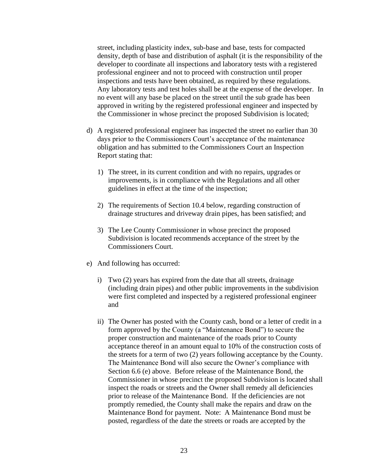street, including plasticity index, sub-base and base, tests for compacted density, depth of base and distribution of asphalt (it is the responsibility of the developer to coordinate all inspections and laboratory tests with a registered professional engineer and not to proceed with construction until proper inspections and tests have been obtained, as required by these regulations. Any laboratory tests and test holes shall be at the expense of the developer. In no event will any base be placed on the street until the sub grade has been approved in writing by the registered professional engineer and inspected by the Commissioner in whose precinct the proposed Subdivision is located;

- d) A registered professional engineer has inspected the street no earlier than 30 days prior to the Commissioners Court's acceptance of the maintenance obligation and has submitted to the Commissioners Court an Inspection Report stating that:
	- 1) The street, in its current condition and with no repairs, upgrades or improvements, is in compliance with the Regulations and all other guidelines in effect at the time of the inspection;
	- 2) The requirements of Section 10.4 below, regarding construction of drainage structures and driveway drain pipes, has been satisfied; and
	- 3) The Lee County Commissioner in whose precinct the proposed Subdivision is located recommends acceptance of the street by the Commissioners Court.
- e) And following has occurred:
	- i) Two (2) years has expired from the date that all streets, drainage (including drain pipes) and other public improvements in the subdivision were first completed and inspected by a registered professional engineer and
	- ii) The Owner has posted with the County cash, bond or a letter of credit in a form approved by the County (a "Maintenance Bond") to secure the proper construction and maintenance of the roads prior to County acceptance thereof in an amount equal to 10% of the construction costs of the streets for a term of two (2) years following acceptance by the County. The Maintenance Bond will also secure the Owner's compliance with Section 6.6 (e) above. Before release of the Maintenance Bond, the Commissioner in whose precinct the proposed Subdivision is located shall inspect the roads or streets and the Owner shall remedy all deficiencies prior to release of the Maintenance Bond. If the deficiencies are not promptly remedied, the County shall make the repairs and draw on the Maintenance Bond for payment. Note: A Maintenance Bond must be posted, regardless of the date the streets or roads are accepted by the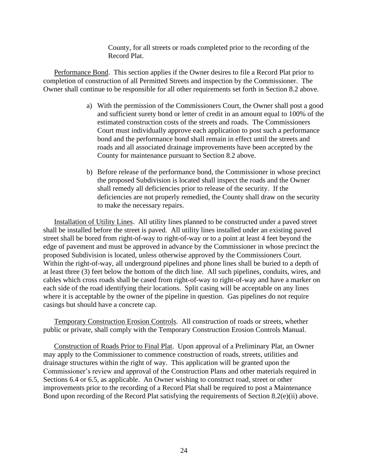County, for all streets or roads completed prior to the recording of the Record Plat.

<span id="page-27-0"></span>Performance Bond. This section applies if the Owner desires to file a Record Plat prior to completion of construction of all Permitted Streets and inspection by the Commissioner. The Owner shall continue to be responsible for all other requirements set forth in Section 8.2 above.

- a) With the permission of the Commissioners Court, the Owner shall post a good and sufficient surety bond or letter of credit in an amount equal to 100% of the estimated construction costs of the streets and roads. The Commissioners Court must individually approve each application to post such a performance bond and the performance bond shall remain in effect until the streets and roads and all associated drainage improvements have been accepted by the County for maintenance pursuant to Section 8.2 above.
- b) Before release of the performance bond, the Commissioner in whose precinct the proposed Subdivision is located shall inspect the roads and the Owner shall remedy all deficiencies prior to release of the security. If the deficiencies are not properly remedied, the County shall draw on the security to make the necessary repairs.

<span id="page-27-1"></span>Installation of Utility Lines. All utility lines planned to be constructed under a paved street shall be installed before the street is paved. All utility lines installed under an existing paved street shall be bored from right-of-way to right-of-way or to a point at least 4 feet beyond the edge of pavement and must be approved in advance by the Commissioner in whose precinct the proposed Subdivision is located, unless otherwise approved by the Commissioners Court. Within the right-of-way, all underground pipelines and phone lines shall be buried to a depth of at least three (3) feet below the bottom of the ditch line. All such pipelines, conduits, wires, and cables which cross roads shall be cased from right-of-way to right-of-way and have a marker on each side of the road identifying their locations. Split casing will be acceptable on any lines where it is acceptable by the owner of the pipeline in question. Gas pipelines do not require casings but should have a concrete cap.

<span id="page-27-2"></span>Temporary Construction Erosion Controls. All construction of roads or streets, whether public or private, shall comply with the Temporary Construction Erosion Controls Manual.

<span id="page-27-3"></span>Construction of Roads Prior to Final Plat. Upon approval of a Preliminary Plat, an Owner may apply to the Commissioner to commence construction of roads, streets, utilities and drainage structures within the right of way. This application will be granted upon the Commissioner's review and approval of the Construction Plans and other materials required in Sections 6.4 or 6.5, as applicable. An Owner wishing to construct road, street or other improvements prior to the recording of a Record Plat shall be required to post a Maintenance Bond upon recording of the Record Plat satisfying the requirements of Section 8.2(e)(ii) above.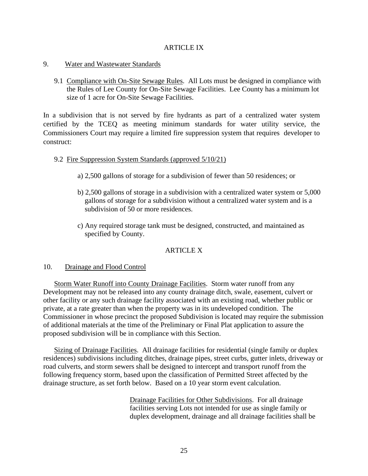## ARTICLE IX

### <span id="page-28-1"></span><span id="page-28-0"></span>9. Water and Wastewater Standards

<span id="page-28-2"></span>9.1 Compliance with On-Site Sewage Rules. All Lots must be designed in compliance with the Rules of Lee County for On-Site Sewage Facilities. Lee County has a minimum lot size of 1 acre for On-Site Sewage Facilities.

In a subdivision that is not served by fire hydrants as part of a centralized water system certified by the TCEQ as meeting minimum standards for water utility service, the Commissioners Court may require a limited fire suppression system that requires developer to construct:

## 9.2 Fire Suppression System Standards (approved 5/10/21)

- a) 2,500 gallons of storage for a subdivision of fewer than 50 residences; or
- b) 2,500 gallons of storage in a subdivision with a centralized water system or 5,000 gallons of storage for a subdivision without a centralized water system and is a subdivision of 50 or more residences.
- c) Any required storage tank must be designed, constructed, and maintained as specified by County.

## ARTICLE X

## <span id="page-28-4"></span><span id="page-28-3"></span>10. Drainage and Flood Control

<span id="page-28-5"></span>Storm Water Runoff into County Drainage Facilities. Storm water runoff from any Development may not be released into any county drainage ditch, swale, easement, culvert or other facility or any such drainage facility associated with an existing road, whether public or private, at a rate greater than when the property was in its undeveloped condition. The Commissioner in whose precinct the proposed Subdivision is located may require the submission of additional materials at the time of the Preliminary or Final Plat application to assure the proposed subdivision will be in compliance with this Section.

<span id="page-28-6"></span>Sizing of Drainage Facilities. All drainage facilities for residential (single family or duplex residences) subdivisions including ditches, drainage pipes, street curbs, gutter inlets, driveway or road culverts, and storm sewers shall be designed to intercept and transport runoff from the following frequency storm, based upon the classification of Permitted Street affected by the drainage structure, as set forth below. Based on a 10 year storm event calculation.

> Drainage Facilities for Other Subdivisions. For all drainage facilities serving Lots not intended for use as single family or duplex development, drainage and all drainage facilities shall be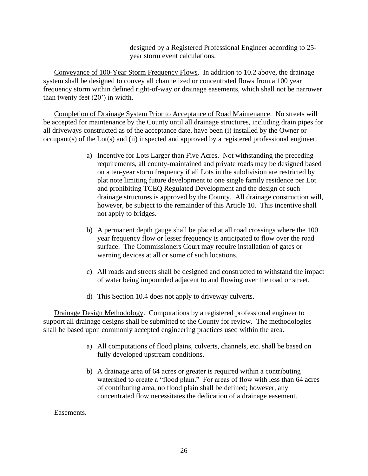designed by a Registered Professional Engineer according to 25 year storm event calculations.

<span id="page-29-0"></span>Conveyance of 100-Year Storm Frequency Flows. In addition to 10.2 above, the drainage system shall be designed to convey all channelized or concentrated flows from a 100 year frequency storm within defined right-of-way or drainage easements, which shall not be narrower than twenty feet (20') in width.

<span id="page-29-1"></span>Completion of Drainage System Prior to Acceptance of Road Maintenance. No streets will be accepted for maintenance by the County until all drainage structures, including drain pipes for all driveways constructed as of the acceptance date, have been (i) installed by the Owner or occupant(s) of the Lot(s) and (ii) inspected and approved by a registered professional engineer.

- a) Incentive for Lots Larger than Five Acres. Not withstanding the preceding requirements, all county-maintained and private roads may be designed based on a ten-year storm frequency if all Lots in the subdivision are restricted by plat note limiting future development to one single family residence per Lot and prohibiting TCEQ Regulated Development and the design of such drainage structures is approved by the County. All drainage construction will, however, be subject to the remainder of this Article 10. This incentive shall not apply to bridges.
- b) A permanent depth gauge shall be placed at all road crossings where the 100 year frequency flow or lesser frequency is anticipated to flow over the road surface. The Commissioners Court may require installation of gates or warning devices at all or some of such locations.
- c) All roads and streets shall be designed and constructed to withstand the impact of water being impounded adjacent to and flowing over the road or street.
- d) This Section 10.4 does not apply to driveway culverts.

<span id="page-29-2"></span>Drainage Design Methodology. Computations by a registered professional engineer to support all drainage designs shall be submitted to the County for review. The methodologies shall be based upon commonly accepted engineering practices used within the area.

- a) All computations of flood plains, culverts, channels, etc. shall be based on fully developed upstream conditions.
- b) A drainage area of 64 acres or greater is required within a contributing watershed to create a "flood plain." For areas of flow with less than 64 acres of contributing area, no flood plain shall be defined; however, any concentrated flow necessitates the dedication of a drainage easement.

<span id="page-29-3"></span>Easements.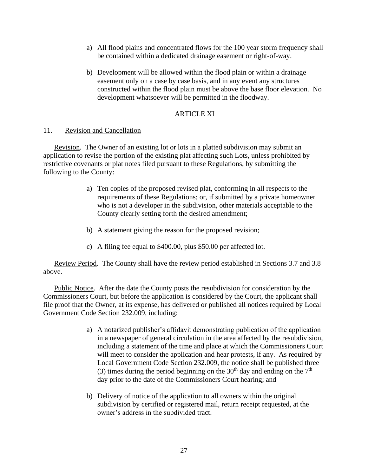- a) All flood plains and concentrated flows for the 100 year storm frequency shall be contained within a dedicated drainage easement or right-of-way.
- b) Development will be allowed within the flood plain or within a drainage easement only on a case by case basis, and in any event any structures constructed within the flood plain must be above the base floor elevation. No development whatsoever will be permitted in the floodway.

## ARTICLE XI

## <span id="page-30-1"></span><span id="page-30-0"></span>11. Revision and Cancellation

<span id="page-30-2"></span>Revision. The Owner of an existing lot or lots in a platted subdivision may submit an application to revise the portion of the existing plat affecting such Lots, unless prohibited by restrictive covenants or plat notes filed pursuant to these Regulations, by submitting the following to the County:

- a) Ten copies of the proposed revised plat, conforming in all respects to the requirements of these Regulations; or, if submitted by a private homeowner who is not a developer in the subdivision, other materials acceptable to the County clearly setting forth the desired amendment;
- b) A statement giving the reason for the proposed revision;
- c) A filing fee equal to \$400.00, plus \$50.00 per affected lot.

<span id="page-30-3"></span>Review Period. The County shall have the review period established in Sections 3.7 and 3.8 above.

<span id="page-30-4"></span>Public Notice. After the date the County posts the resubdivision for consideration by the Commissioners Court, but before the application is considered by the Court, the applicant shall file proof that the Owner, at its expense, has delivered or published all notices required by Local Government Code Section 232.009, including:

- a) A notarized publisher's affidavit demonstrating publication of the application in a newspaper of general circulation in the area affected by the resubdivision, including a statement of the time and place at which the Commissioners Court will meet to consider the application and hear protests, if any. As required by Local Government Code Section 232.009, the notice shall be published three (3) times during the period beginning on the 30<sup>th</sup> day and ending on the  $7<sup>th</sup>$ day prior to the date of the Commissioners Court hearing; and
- b) Delivery of notice of the application to all owners within the original subdivision by certified or registered mail, return receipt requested, at the owner's address in the subdivided tract.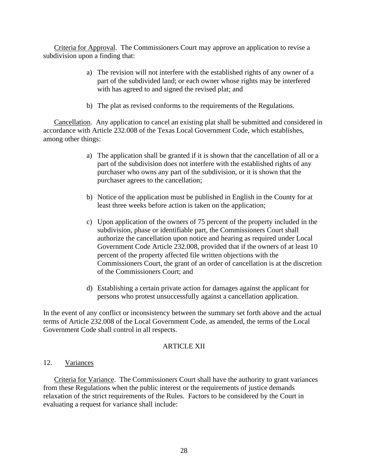<span id="page-31-0"></span>Criteria for Approval. The Commissioners Court may approve an application to revise a subdivision upon a finding that:

- a) The revision will not interfere with the established rights of any owner of a part of the subdivided land; or each owner whose rights may be interfered with has agreed to and signed the revised plat; and
- b) The plat as revised conforms to the requirements of the Regulations.

<span id="page-31-1"></span>Cancellation. Any application to cancel an existing plat shall be submitted and considered in accordance with Article 232.008 of the Texas Local Government Code, which establishes, among other things:

- a) The application shall be granted if it is shown that the cancellation of all or a part of the subdivision does not interfere with the established rights of any purchaser who owns any part of the subdivision, or it is shown that the purchaser agrees to the cancellation;
- b) Notice of the application must be published in English in the County for at least three weeks before action is taken on the application;
- c) Upon application of the owners of 75 percent of the property included in the subdivision, phase or identifiable part, the Commissioners Court shall authorize the cancellation upon notice and hearing as required under Local Government Code Article 232.008, provided that if the owners of at least 10 percent of the property affected file written objections with the Commissioners Court, the grant of an order of cancellation is at the discretion of the Commissioners Court; and
- d) Establishing a certain private action for damages against the applicant for persons who protest unsuccessfully against a cancellation application.

In the event of any conflict or inconsistency between the summary set forth above and the actual terms of Article 232.008 of the Local Government Code, as amended, the terms of the Local Government Code shall control in all respects.

## **ARTICLE XII**

#### <span id="page-31-3"></span><span id="page-31-2"></span>12. Variances

<span id="page-31-4"></span>Criteria for Variance. The Commissioners Court shall have the authority to grant variances from these Regulations when the public interest or the requirements of justice demands relaxation of the strict requirements of the Rules. Factors to be considered by the Court in evaluating a request for variance shall include: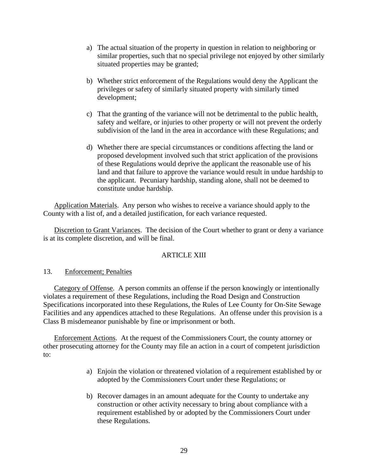- a) The actual situation of the property in question in relation to neighboring or similar properties, such that no special privilege not enjoyed by other similarly situated properties may be granted;
- b) Whether strict enforcement of the Regulations would deny the Applicant the privileges or safety of similarly situated property with similarly timed development;
- c) That the granting of the variance will not be detrimental to the public health, safety and welfare, or injuries to other property or will not prevent the orderly subdivision of the land in the area in accordance with these Regulations; and
- d) Whether there are special circumstances or conditions affecting the land or proposed development involved such that strict application of the provisions of these Regulations would deprive the applicant the reasonable use of his land and that failure to approve the variance would result in undue hardship to the applicant. Pecuniary hardship, standing alone, shall not be deemed to constitute undue hardship.

<span id="page-32-0"></span>Application Materials. Any person who wishes to receive a variance should apply to the County with a list of, and a detailed justification, for each variance requested.

<span id="page-32-1"></span>Discretion to Grant Variances. The decision of the Court whether to grant or deny a variance is at its complete discretion, and will be final.

## ARTICLE XIII

## <span id="page-32-3"></span><span id="page-32-2"></span>13. Enforcement; Penalties

<span id="page-32-4"></span>Category of Offense. A person commits an offense if the person knowingly or intentionally violates a requirement of these Regulations, including the Road Design and Construction Specifications incorporated into these Regulations, the Rules of Lee County for On-Site Sewage Facilities and any appendices attached to these Regulations. An offense under this provision is a Class B misdemeanor punishable by fine or imprisonment or both.

<span id="page-32-5"></span>Enforcement Actions. At the request of the Commissioners Court, the county attorney or other prosecuting attorney for the County may file an action in a court of competent jurisdiction to:

- a) Enjoin the violation or threatened violation of a requirement established by or adopted by the Commissioners Court under these Regulations; or
- b) Recover damages in an amount adequate for the County to undertake any construction or other activity necessary to bring about compliance with a requirement established by or adopted by the Commissioners Court under these Regulations.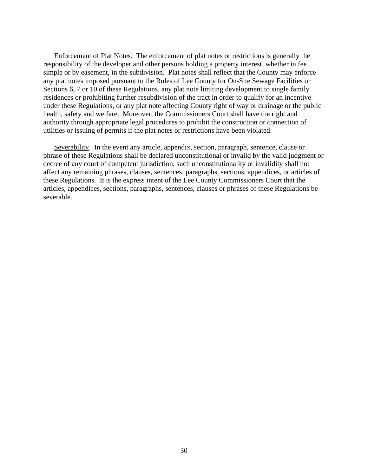<span id="page-33-0"></span>Enforcement of Plat Notes. The enforcement of plat notes or restrictions is generally the responsibility of the developer and other persons holding a property interest, whether in fee simple or by easement, in the subdivision. Plat notes shall reflect that the County may enforce any plat notes imposed pursuant to the Rules of Lee County for On-Site Sewage Facilities or Sections 6, 7 or 10 of these Regulations, any plat note limiting development to single family residences or prohibiting further resubdivision of the tract in order to qualify for an incentive under these Regulations, or any plat note affecting County right of way or drainage or the public health, safety and welfare. Moreover, the Commissioners Court shall have the right and authority through appropriate legal procedures to prohibit the construction or connection of utilities or issuing of permits if the plat notes or restrictions have been violated.

<span id="page-33-1"></span>Severability. In the event any article, appendix, section, paragraph, sentence, clause or phrase of these Regulations shall be declared unconstitutional or invalid by the valid judgment or decree of any court of competent jurisdiction, such unconstitutionality or invalidity shall not affect any remaining phrases, clauses, sentences, paragraphs, sections, appendices, or articles of these Regulations. It is the express intent of the Lee County Commissioners Court that the articles, appendices, sections, paragraphs, sentences, clauses or phrases of these Regulations be severable.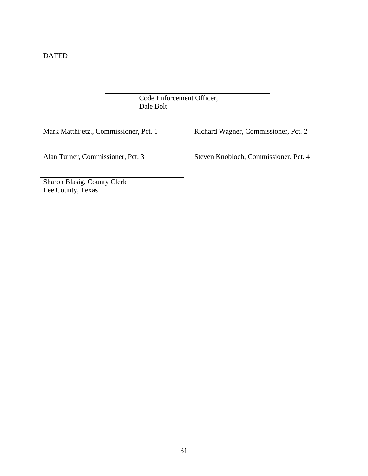DATED

Code Enforcement Officer, Dale Bolt

|  | Mark Matthijetz., Commissioner, Pct. 1 |
|--|----------------------------------------|
|--|----------------------------------------|

Richard Wagner, Commissioner, Pct. 2

Alan Turner, Commissioner, Pct. 3 Steven Knobloch, Commissioner, Pct. 4

Sharon Blasig, County Clerk Lee County, Texas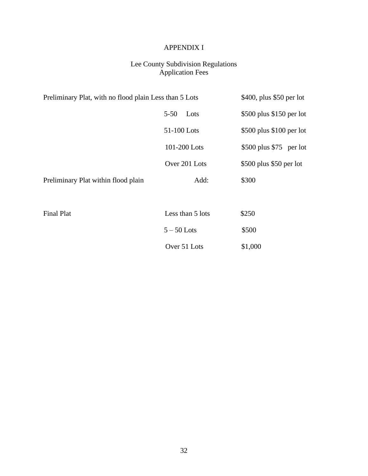## APPENDIX I

## Lee County Subdivision Regulations Application Fees

<span id="page-35-0"></span>

| Preliminary Plat, with no flood plain Less than 5 Lots | \$400, plus \$50 per lot |                           |
|--------------------------------------------------------|--------------------------|---------------------------|
|                                                        | $5 - 50$<br>Lots         | $$500$ plus \$150 per lot |
|                                                        | 51-100 Lots              | \$500 plus \$100 per lot  |
|                                                        | 101-200 Lots             | $$500$ plus \$75 per lot  |
|                                                        | Over 201 Lots            | \$500 plus \$50 per lot   |
| Preliminary Plat within flood plain                    | Add:                     | \$300                     |
|                                                        |                          |                           |
| <b>Final Plat</b>                                      | Less than 5 lots         | \$250                     |
|                                                        | $5-50$ Lots              | \$500                     |
|                                                        | Over 51 Lots             | \$1,000                   |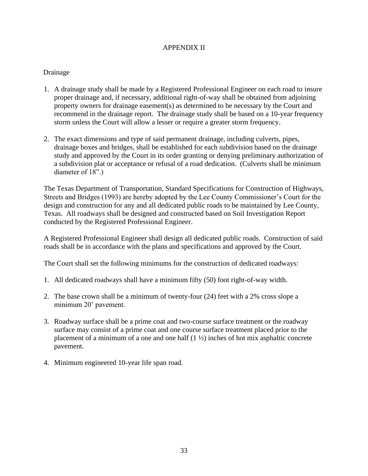## APPENDIX II

## <span id="page-36-0"></span>Drainage

- 1. A drainage study shall be made by a Registered Professional Engineer on each road to insure proper drainage and, if necessary, additional right-of-way shall be obtained from adjoining property owners for drainage easement(s) as determined to be necessary by the Court and recommend in the drainage report. The drainage study shall be based on a 10-year frequency storm unless the Court will allow a lesser or require a greater storm frequency.
- 2. The exact dimensions and type of said permanent drainage, including culverts, pipes, drainage boxes and bridges, shall be established for each subdivision based on the drainage study and approved by the Court in its order granting or denying preliminary authorization of a subdivision plat or acceptance or refusal of a road dedication. (Culverts shall be minimum diameter of 18".)

The Texas Department of Transportation, Standard Specifications for Construction of Highways, Streets and Bridges (1993) are hereby adopted by the Lee County Commissioner's Court for the design and construction for any and all dedicated public roads to be maintained by Lee County, Texas. All roadways shall be designed and constructed based on Soil Investigation Report conducted by the Registered Professional Engineer.

A Registered Professional Engineer shall design all dedicated public roads. Construction of said roads shall be in accordance with the plans and specifications and approved by the Court.

The Court shall set the following minimums for the construction of dedicated roadways:

- 1. All dedicated roadways shall have a minimum fifty (50) foot right-of-way width.
- 2. The base crown shall be a minimum of twenty-four (24) feet with a 2% cross slope a minimum 20' pavement.
- 3. Roadway surface shall be a prime coat and two-course surface treatment or the roadway surface may consist of a prime coat and one course surface treatment placed prior to the placement of a minimum of a one and one half  $(1 \frac{1}{2})$  inches of hot mix asphaltic concrete pavement.
- 4. Minimum engineered 10-year life span road.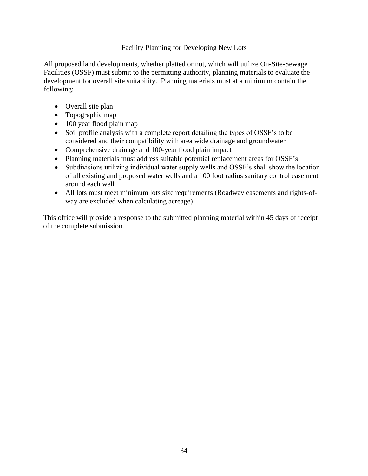## Facility Planning for Developing New Lots

All proposed land developments, whether platted or not, which will utilize On-Site-Sewage Facilities (OSSF) must submit to the permitting authority, planning materials to evaluate the development for overall site suitability. Planning materials must at a minimum contain the following:

- Overall site plan
- Topographic map
- 100 year flood plain map
- Soil profile analysis with a complete report detailing the types of OSSF's to be considered and their compatibility with area wide drainage and groundwater
- Comprehensive drainage and 100-year flood plain impact
- Planning materials must address suitable potential replacement areas for OSSF's
- Subdivisions utilizing individual water supply wells and OSSF's shall show the location of all existing and proposed water wells and a 100 foot radius sanitary control easement around each well
- All lots must meet minimum lots size requirements (Roadway easements and rights-ofway are excluded when calculating acreage)

This office will provide a response to the submitted planning material within 45 days of receipt of the complete submission.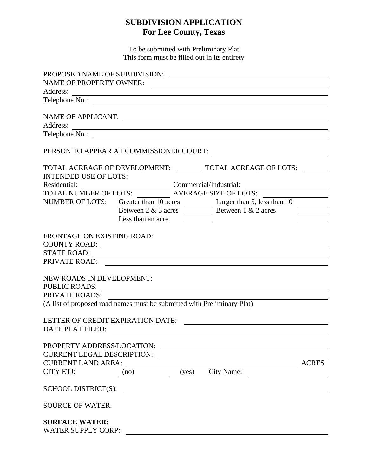## **SUBDIVISION APPLICATION For Lee County, Texas**

To be submitted with Preliminary Plat This form must be filled out in its entirety

| <b>NAME OF PROPERTY OWNER:</b>                                                                                                                                                                                                                                                                                                                                                                                                                                                                               |                              |  |                                                                                                                      |  |
|--------------------------------------------------------------------------------------------------------------------------------------------------------------------------------------------------------------------------------------------------------------------------------------------------------------------------------------------------------------------------------------------------------------------------------------------------------------------------------------------------------------|------------------------------|--|----------------------------------------------------------------------------------------------------------------------|--|
| Address:                                                                                                                                                                                                                                                                                                                                                                                                                                                                                                     |                              |  |                                                                                                                      |  |
|                                                                                                                                                                                                                                                                                                                                                                                                                                                                                                              |                              |  |                                                                                                                      |  |
|                                                                                                                                                                                                                                                                                                                                                                                                                                                                                                              |                              |  |                                                                                                                      |  |
|                                                                                                                                                                                                                                                                                                                                                                                                                                                                                                              |                              |  | NAME OF APPLICANT:                                                                                                   |  |
| Address:                                                                                                                                                                                                                                                                                                                                                                                                                                                                                                     |                              |  | <u> 1989 - Johann Stoff, die staatskriuw fan de Amerikaansk kommunister († 1958)</u>                                 |  |
|                                                                                                                                                                                                                                                                                                                                                                                                                                                                                                              |                              |  | Telephone No.:                                                                                                       |  |
| PERSON TO APPEAR AT COMMISSIONER COURT:                                                                                                                                                                                                                                                                                                                                                                                                                                                                      |                              |  | <u> 1989 - John Stein, Amerikaansk politiker (</u>                                                                   |  |
| TOTAL ACREAGE OF DEVELOPMENT:                                                                                                                                                                                                                                                                                                                                                                                                                                                                                |                              |  | <b>TOTAL ACREAGE OF LOTS:</b>                                                                                        |  |
| <b>INTENDED USE OF LOTS:</b>                                                                                                                                                                                                                                                                                                                                                                                                                                                                                 |                              |  |                                                                                                                      |  |
| Residential:                                                                                                                                                                                                                                                                                                                                                                                                                                                                                                 |                              |  | Commercial/Industrial:<br><u> Alexandria (m. 1888)</u>                                                               |  |
| TOTAL NUMBER OF LOTS:                                                                                                                                                                                                                                                                                                                                                                                                                                                                                        |                              |  | <b>AVERAGE SIZE OF LOTS:</b>                                                                                         |  |
|                                                                                                                                                                                                                                                                                                                                                                                                                                                                                                              |                              |  | NUMBER OF LOTS: Greater than 10 acres Larger than 5, less than 10                                                    |  |
|                                                                                                                                                                                                                                                                                                                                                                                                                                                                                                              |                              |  |                                                                                                                      |  |
|                                                                                                                                                                                                                                                                                                                                                                                                                                                                                                              | Less than an acre            |  |                                                                                                                      |  |
|                                                                                                                                                                                                                                                                                                                                                                                                                                                                                                              |                              |  |                                                                                                                      |  |
| FRONTAGE ON EXISTING ROAD:                                                                                                                                                                                                                                                                                                                                                                                                                                                                                   |                              |  |                                                                                                                      |  |
|                                                                                                                                                                                                                                                                                                                                                                                                                                                                                                              |                              |  |                                                                                                                      |  |
| <b>STATE ROAD:</b>                                                                                                                                                                                                                                                                                                                                                                                                                                                                                           |                              |  | <u> 1980 - Johann Barn, fransk politik (f. 1980)</u>                                                                 |  |
|                                                                                                                                                                                                                                                                                                                                                                                                                                                                                                              |                              |  |                                                                                                                      |  |
|                                                                                                                                                                                                                                                                                                                                                                                                                                                                                                              |                              |  |                                                                                                                      |  |
| <b>NEW ROADS IN DEVELOPMENT:</b><br><b>PUBLIC ROADS:</b>                                                                                                                                                                                                                                                                                                                                                                                                                                                     |                              |  |                                                                                                                      |  |
| PRIVATE ROADS:                                                                                                                                                                                                                                                                                                                                                                                                                                                                                               |                              |  |                                                                                                                      |  |
|                                                                                                                                                                                                                                                                                                                                                                                                                                                                                                              |                              |  |                                                                                                                      |  |
| (A list of proposed road names must be submitted with Preliminary Plat)                                                                                                                                                                                                                                                                                                                                                                                                                                      |                              |  |                                                                                                                      |  |
| LETTER OF CREDIT EXPIRATION DATE:                                                                                                                                                                                                                                                                                                                                                                                                                                                                            |                              |  |                                                                                                                      |  |
| DATE PLAT FILED:                                                                                                                                                                                                                                                                                                                                                                                                                                                                                             |                              |  |                                                                                                                      |  |
|                                                                                                                                                                                                                                                                                                                                                                                                                                                                                                              |                              |  |                                                                                                                      |  |
| PROPERTY ADDRESS/LOCATION:                                                                                                                                                                                                                                                                                                                                                                                                                                                                                   |                              |  | <u> 1980 - John Stein, marking and de Britain and de Britain and de Britain and de Britain and de Britain and de</u> |  |
| <b>CURRENT LEGAL DESCRIPTION:</b>                                                                                                                                                                                                                                                                                                                                                                                                                                                                            |                              |  |                                                                                                                      |  |
| <b>CURRENT LAND AREA:</b><br>$\overline{\phantom{a}}$ $\overline{\phantom{a}}$ $\overline{\phantom{a}}$ $\overline{\phantom{a}}$ $\overline{\phantom{a}}$ $\overline{\phantom{a}}$ $\overline{\phantom{a}}$ $\overline{\phantom{a}}$ $\overline{\phantom{a}}$ $\overline{\phantom{a}}$ $\overline{\phantom{a}}$ $\overline{\phantom{a}}$ $\overline{\phantom{a}}$ $\overline{\phantom{a}}$ $\overline{\phantom{a}}$ $\overline{\phantom{a}}$ $\overline{\phantom{a}}$ $\overline{\phantom{a}}$ $\overline{\$ |                              |  |                                                                                                                      |  |
| CITY ETJ:                                                                                                                                                                                                                                                                                                                                                                                                                                                                                                    | $(\text{no})$ $(\text{yes})$ |  | City Name:                                                                                                           |  |
|                                                                                                                                                                                                                                                                                                                                                                                                                                                                                                              |                              |  |                                                                                                                      |  |
| <b>SCHOOL DISTRICT(S):</b>                                                                                                                                                                                                                                                                                                                                                                                                                                                                                   |                              |  |                                                                                                                      |  |
| <b>SOURCE OF WATER:</b>                                                                                                                                                                                                                                                                                                                                                                                                                                                                                      |                              |  |                                                                                                                      |  |
|                                                                                                                                                                                                                                                                                                                                                                                                                                                                                                              |                              |  |                                                                                                                      |  |
| <b>SURFACE WATER:</b>                                                                                                                                                                                                                                                                                                                                                                                                                                                                                        |                              |  |                                                                                                                      |  |
| <b>WATER SUPPLY CORP:</b>                                                                                                                                                                                                                                                                                                                                                                                                                                                                                    |                              |  |                                                                                                                      |  |